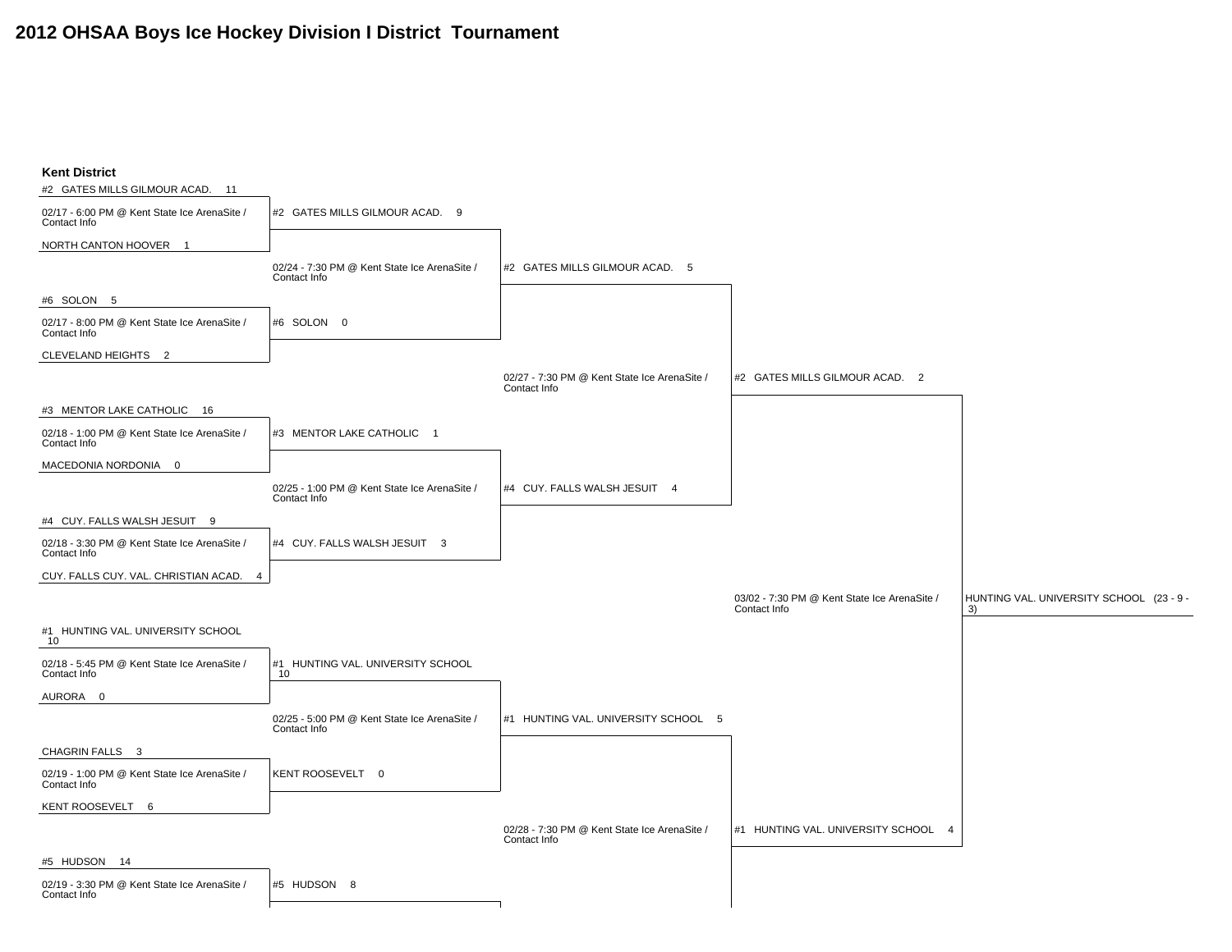## **2012 OHSAA Boys Ice Hockey Division I District Tournament**